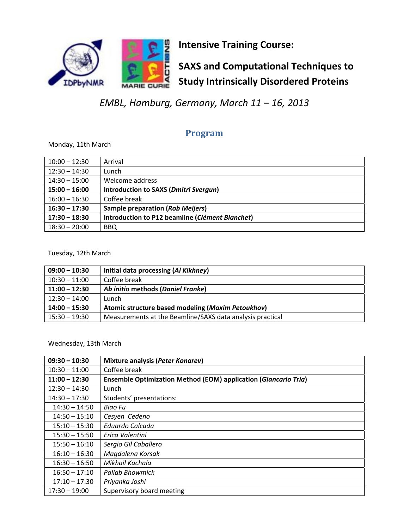

**Intensive Training Course:**

**SAXS and Computational Techniques to Study Intrinsically Disordered Proteins**

*EMBL, Hamburg, Germany, March 11 – 16, 2013*

## **Program**

Monday, 11th March

| $10:00 - 12:30$ | Arrival                                         |
|-----------------|-------------------------------------------------|
| $12:30 - 14:30$ | Lunch                                           |
| $14:30 - 15:00$ | Welcome address                                 |
| $15:00 - 16:00$ | Introduction to SAXS (Dmitri Svergun)           |
| $16:00 - 16:30$ | Coffee break                                    |
| $16:30 - 17:30$ | <b>Sample preparation (Rob Meijers)</b>         |
| $17:30 - 18:30$ | Introduction to P12 beamline (Clément Blanchet) |
| $18:30 - 20:00$ | BBQ                                             |

Tuesday, 12th March

| $09:00 - 10:30$ | Initial data processing (Al Kikhney)                      |
|-----------------|-----------------------------------------------------------|
| $10:30 - 11:00$ | Coffee break                                              |
| $11:00 - 12:30$ | Ab initio methods (Daniel Franke)                         |
| $12:30 - 14:00$ | Lunch                                                     |
| $14:00 - 15:30$ | Atomic structure based modeling (Maxim Petoukhov)         |
| $15:30 - 19:30$ | Measurements at the Beamline/SAXS data analysis practical |

Wednesday, 13th March

| $09:30 - 10:30$ | Mixture analysis (Peter Konarev)                                       |
|-----------------|------------------------------------------------------------------------|
| $10:30 - 11:00$ | Coffee break                                                           |
| $11:00 - 12:30$ | <b>Ensemble Optimization Method (EOM) application (Giancarlo Tria)</b> |
| $12:30 - 14:30$ | Lunch                                                                  |
| $14:30 - 17:30$ | Students' presentations:                                               |
| $14:30 - 14:50$ | Biao Fu                                                                |
| $14:50 - 15:10$ | Cesyen Cedeno                                                          |
| $15:10 - 15:30$ | Eduardo Calcada                                                        |
| $15:30 - 15:50$ | Erica Valentini                                                        |
| $15:50 - 16:10$ | Sergio Gil Caballero                                                   |
| $16:10 - 16:30$ | Magdalena Korsak                                                       |
| $16:30 - 16:50$ | Mikhail Kachala                                                        |
| $16:50 - 17:10$ | Pallab Bhowmick                                                        |
| $17:10 - 17:30$ | Priyanka Joshi                                                         |
| $17:30 - 19:00$ | Supervisory board meeting                                              |